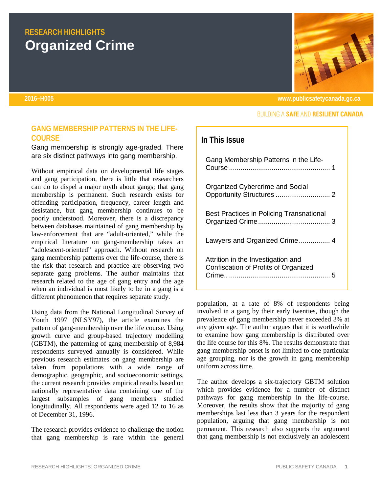# <span id="page-0-0"></span>**RESEARCH HIGHLIGHTS Organized Crime**

## <span id="page-0-1"></span>**GANG MEMBERSHIP PATTERNS IN THE LIFE-COURSE**

Gang membership is strongly age-graded. There are six distinct pathways into gang membership.

Without empirical data on developmental life stages and gang participation, there is little that researchers can do to dispel a major myth about gangs; that gang membership is permanent. Such research exists for offending participation, frequency, career length and desistance, but gang membership continues to be poorly understood. Moreover, there is a discrepancy between databases maintained of gang membership by law-enforcement that are "adult-oriented," while the empirical literature on gang-membership takes an "adolescent-oriented" approach. Without research on gang membership patterns over the life-course, there is the risk that research and practice are observing two separate gang problems. The author maintains that research related to the age of gang entry and the age when an individual is most likely to be in a gang is a different phenomenon that requires separate study.

Using data from the National Longitudinal Survey of Youth 1997 (NLSY97), the article examines the pattern of gang-membership over the life course. Using growth curve and group-based trajectory modelling (GBTM), the patterning of gang membership of 8,984 respondents surveyed annually is considered. While previous research estimates on gang membership are taken from populations with a wide range of demographic, geographic, and socioeconomic settings, the current research provides empirical results based on nationally representative data containing one of the largest subsamples of gang members studied longitudinally. All respondents were aged 12 to 16 as of December 31, 1996.

The research provides evidence to challenge the notion that gang membership is rare within the general



**2016–H005 www.publicsafetycanada.gc.ca**

#### **BUILDING A SAFE AND RESILIENT CANADA**

# **In This Issue**

| Gang Membership Patterns in the Life-                                             |
|-----------------------------------------------------------------------------------|
| Organized Cybercrime and Social                                                   |
| <b>Best Practices in Policing Transnational</b>                                   |
| Lawyers and Organized Crime 4                                                     |
| Attrition in the Investigation and<br><b>Confiscation of Profits of Organized</b> |

population, at a rate of 8% of respondents being involved in a gang by their early twenties, though the prevalence of gang membership never exceeded 3% at any given age. The author argues that it is worthwhile to examine how gang membership is distributed over the life course for this 8%. The results demonstrate that gang membership onset is not limited to one particular age grouping, nor is the growth in gang membership uniform across time.

The author develops a six-trajectory GBTM solution which provides evidence for a number of distinct pathways for gang membership in the life-course. Moreover, the results show that the majority of gang memberships last less than 3 years for the respondent population, arguing that gang membership is not permanent. This research also supports the argument that gang membership is not exclusively an adolescent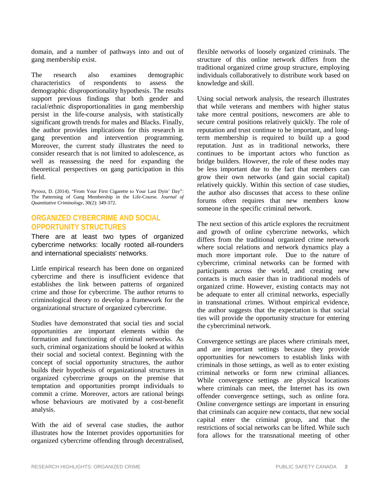domain, and a number of pathways into and out of gang membership exist.

The research also examines demographic characteristics of respondents to assess the demographic disproportionality hypothesis. The results support previous findings that both gender and racial/ethnic disproportionalities in gang membership persist in the life-course analysis, with statistically significant growth trends for males and Blacks. Finally, the author provides implications for this research in gang prevention and intervention programming. Moreover, the current study illustrates the need to consider research that is not limited to adolescence, as well as reassessing the need for expanding the theoretical perspectives on gang participation in this field.

Pyrooz, D. (2014). "From Your First Cigarette to Your Last Dyin' Day": The Patterning of Gang Membership in the Life-Course. *Journal of Quantitative Criminology*, 30(2): 349-372.

#### **ORGANIZED CYBERCRIME AND SOCIAL OPPORTUNITY STRUCTURES**

There are at least two types of organized cybercrime networks: locally rooted all-rounders and international specialists' networks.

Little empirical research has been done on organized cybercrime and there is insufficient evidence that establishes the link between patterns of organized crime and those for cybercrime. The author returns to criminological theory to develop a framework for the organizational structure of organized cybercrime.

Studies have demonstrated that social ties and social opportunities are important elements within the formation and functioning of criminal networks. As such, criminal organizations should be looked at within their social and societal context. Beginning with the concept of social opportunity structures, the author builds their hypothesis of organizational structures in organized cybercrime groups on the premise that temptation and opportunities prompt individuals to commit a crime. Moreover, actors are rational beings whose behaviours are motivated by a cost-benefit analysis.

With the aid of several case studies, the author illustrates how the Internet provides opportunities for organized cybercrime offending through decentralised, flexible networks of loosely organized criminals. The structure of this online network differs from the traditional organized crime group structure, employing individuals collaboratively to distribute work based on knowledge and skill.

Using social network analysis, the research illustrates that while veterans and members with higher status take more central positions, newcomers are able to secure central positions relatively quickly. The role of reputation and trust continue to be important, and longterm membership is required to build up a good reputation. Just as in traditional networks, there continues to be important actors who function as bridge builders. However, the role of these nodes may be less important due to the fact that members can grow their own networks (and gain social capital) relatively quickly. Within this section of case studies, the author also discusses that access to these online forums often requires that new members know someone in the specific criminal network.

The next section of this article explores the recruitment and growth of online cybercrime networks, which differs from the traditional organized crime network where social relations and network dynamics play a much more important role. Due to the nature of cybercrime, criminal networks can be formed with participants across the world, and creating new contacts is much easier than in traditional models of organized crime. However, existing contacts may not be adequate to enter all criminal networks, especially in transnational crimes. Without empirical evidence, the author suggests that the expectation is that social ties will provide the opportunity structure for entering the cybercriminal network.

Convergence settings are places where criminals meet, and are important settings because they provide opportunities for newcomers to establish links with criminals in those settings, as well as to enter existing criminal networks or form new criminal alliances. While convergence settings are physical locations where criminals can meet, the Internet has its own offender convergence settings, such as online fora. Online convergence settings are important in ensuring that criminals can acquire new contacts, that new social capital enter the criminal group, and that the restrictions of social networks can be lifted. While such fora allows for the transnational meeting of other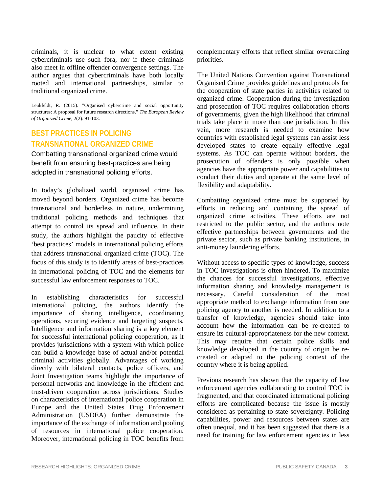criminals, it is unclear to what extent existing cybercriminals use such fora, nor if these criminals also meet in offline offender convergence settings. The author argues that cybercriminals have both locally rooted and international partnerships, similar to traditional organized crime.

<span id="page-2-0"></span>Leukfeldt, R. (2015). "Organised cybercrime and social opportunity structures: A proposal for future research directions." *The European Review of Organized Crime*, 2(2): 91-103.

# **BEST PRACTICES IN POLICING TRANSNATIONAL ORGANIZED CRIME**

Combatting transnational organized crime would benefit from ensuring best-practices are being adopted in transnational policing efforts.

In today's globalized world, organized crime has moved beyond borders. Organized crime has become transnational and borderless in nature, undermining traditional policing methods and techniques that attempt to control its spread and influence. In their study, the authors highlight the paucity of effective 'best practices' models in international policing efforts that address transnational organized crime (TOC). The focus of this study is to identify areas of best-practices in international policing of TOC and the elements for successful law enforcement responses to TOC.

In establishing characteristics for successful international policing, the authors identify the importance of sharing intelligence, coordinating operations, securing evidence and targeting suspects. Intelligence and information sharing is a key element for successful international policing cooperation, as it provides jurisdictions with a system with which police can build a knowledge base of actual and/or potential criminal activities globally. Advantages of working directly with bilateral contacts, police officers, and Joint Investigation teams highlight the importance of personal networks and knowledge in the efficient and trust-driven cooperation across jurisdictions. Studies on characteristics of international police cooperation in Europe and the United States Drug Enforcement Administration (USDEA) further demonstrate the importance of the exchange of information and pooling of resources in international police cooperation. Moreover, international policing in TOC benefits from complementary efforts that reflect similar overarching priorities.

The United Nations Convention against Transnational Organised Crime provides guidelines and protocols for the cooperation of state parties in activities related to organized crime. Cooperation during the investigation and prosecution of TOC requires collaboration efforts of governments, given the high likelihood that criminal trials take place in more than one jurisdiction. In this vein, more research is needed to examine how countries with established legal systems can assist less developed states to create equally effective legal systems. As TOC can operate without borders, the prosecution of offenders is only possible when agencies have the appropriate power and capabilities to conduct their duties and operate at the same level of flexibility and adaptability.

Combatting organized crime must be supported by efforts in reducing and containing the spread of organized crime activities. These efforts are not restricted to the public sector, and the authors note effective partnerships between governments and the private sector, such as private banking institutions, in anti-money laundering efforts.

Without access to specific types of knowledge, success in TOC investigations is often hindered. To maximize the chances for successful investigations, effective information sharing and knowledge management is necessary. Careful consideration of the most appropriate method to exchange information from one policing agency to another is needed. In addition to a transfer of knowledge, agencies should take into account how the information can be re-created to ensure its cultural-appropriateness for the new context. This may require that certain police skills and knowledge developed in the country of origin be recreated or adapted to the policing context of the country where it is being applied.

Previous research has shown that the capacity of law enforcement agencies collaborating to control TOC is fragmented, and that coordinated international policing efforts are complicated because the issue is mostly considered as pertaining to state sovereignty. Policing capabilities, power and resources between states are often unequal, and it has been suggested that there is a need for training for law enforcement agencies in less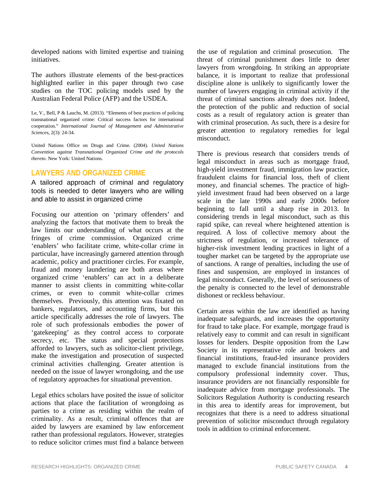developed nations with limited expertise and training initiatives.

The authors illustrate elements of the best-practices highlighted earlier in this paper through two case studies on the TOC policing models used by the Australian Federal Police (AFP) and the USDEA.

Le, V., Bell, P & Lauchs, M. (2013). "Elements of best practices of policing transnational organized crime: Critical success factors for international cooperation." *International Journal of Management and Administrative Sciences*, 2(3): 24-34.

United Nations Office on Drugs and Crime. (2004). *United Nations Convention against Transnational Organized Crime and the protocols thereto*. New York: United Nations.

#### <span id="page-3-0"></span>**LAWYERS AND ORGANIZED CRIME**

A tailored approach of criminal and regulatory tools is needed to deter lawyers who are willing and able to assist in organized crime

Focusing our attention on 'primary offenders' and analyzing the factors that motivate them to break the law limits our understanding of what occurs at the fringes of crime commission. Organized crime 'enablers' who facilitate crime, white-collar crime in particular, have increasingly garnered attention through academic, policy and practitioner circles. For example, fraud and money laundering are both areas where organized crime 'enablers' can act in a deliberate manner to assist clients in committing white-collar crimes, or even to commit white-collar crimes themselves. Previously, this attention was fixated on bankers, regulators, and accounting firms, but this article specifically addresses the role of lawyers. The role of such professionals embodies the power of 'gatekeeping' as they control access to corporate secrecy, etc. The status and special protections afforded to lawyers, such as solicitor-client privilege, make the investigation and prosecution of suspected criminal activities challenging. Greater attention is needed on the issue of lawyer wrongdoing, and the use of regulatory approaches for situational prevention.

Legal ethics scholars have posited the issue of solicitor actions that place the facilitation of wrongdoing as parties to a crime as residing within the realm of criminality. As a result, criminal offences that are aided by lawyers are examined by law enforcement rather than professional regulators. However, strategies to reduce solicitor crimes must find a balance between the use of regulation and criminal prosecution. The threat of criminal punishment does little to deter lawyers from wrongdoing. In striking an appropriate balance, it is important to realize that professional discipline alone is unlikely to significantly lower the number of lawyers engaging in criminal activity if the threat of criminal sanctions already does not. Indeed, the protection of the public and reduction of social costs as a result of regulatory action is greater than with criminal prosecution. As such, there is a desire for greater attention to regulatory remedies for legal misconduct.

There is previous research that considers trends of legal misconduct in areas such as mortgage fraud, high-yield investment fraud, immigration law practice, fraudulent claims for financial loss, theft of client money, and financial schemes. The practice of highyield investment fraud had been observed on a large scale in the late 1990s and early 2000s before beginning to fall until a sharp rise in 2013. In considering trends in legal misconduct, such as this rapid spike, can reveal where heightened attention is required. A loss of collective memory about the strictness of regulation, or increased tolerance of higher-risk investment lending practices in light of a tougher market can be targeted by the appropriate use of sanctions. A range of penalties, including the use of fines and suspension, are employed in instances of legal misconduct. Generally, the level of seriousness of the penalty is connected to the level of demonstrable dishonest or reckless behaviour.

Certain areas within the law are identified as having inadequate safeguards, and increases the opportunity for fraud to take place. For example, mortgage fraud is relatively easy to commit and can result in significant losses for lenders. Despite opposition from the Law Society in its representative role and brokers and financial institutions, fraud-led insurance providers managed to exclude financial institutions from the compulsory professional indemnity cover. Thus, insurance providers are not financially responsible for inadequate advice from mortgage professionals. The Solicitors Regulation Authority is conducting research in this area to identify areas for improvement, but recognizes that there is a need to address situational prevention of solicitor misconduct through regulatory tools in addition to criminal enforcement.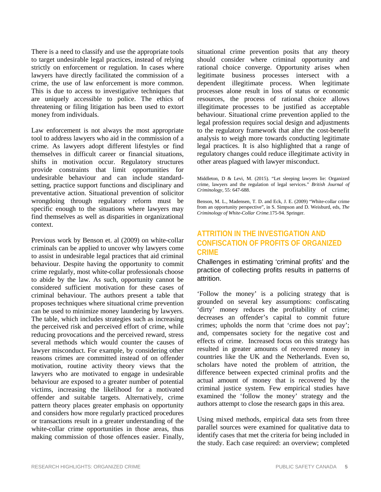There is a need to classify and use the appropriate tools to target undesirable legal practices, instead of relying strictly on enforcement or regulation. In cases where lawyers have directly facilitated the commission of a crime, the use of law enforcement is more common. This is due to access to investigative techniques that are uniquely accessible to police. The ethics of threatening or filing litigation has been used to extort money from individuals.

Law enforcement is not always the most appropriate tool to address lawyers who aid in the commission of a crime. As lawyers adopt different lifestyles or find themselves in difficult career or financial situations, shifts in motivation occur. Regulatory structures provide constraints that limit opportunities for undesirable behaviour and can include standardsetting, practice support functions and disciplinary and preventative action. Situational prevention of solicitor wrongdoing through regulatory reform must be specific enough to the situations where lawyers may find themselves as well as disparities in organizational context.

Previous work by Benson et. al (2009) on white-collar criminals can be applied to uncover why lawyers come to assist in undesirable legal practices that aid criminal behaviour. Despite having the opportunity to commit crime regularly, most white-collar professionals choose to abide by the law. As such, opportunity cannot be considered sufficient motivation for these cases of criminal behaviour. The authors present a table that proposes techniques where situational crime prevention can be used to minimize money laundering by lawyers. The table, which includes strategies such as increasing the perceived risk and perceived effort of crime, while reducing provocations and the perceived reward, stress several methods which would counter the causes of lawyer misconduct. For example, by considering other reasons crimes are committed instead of on offender motivation, routine activity theory views that the lawyers who are motivated to engage in undesirable behaviour are exposed to a greater number of potential victims, increasing the likelihood for a motivated offender and suitable targets. Alternatively, crime pattern theory places greater emphasis on opportunity and considers how more regularly practiced procedures or transactions result in a greater understanding of the white-collar crime opportunities in those areas, thus making commission of those offences easier. Finally, situational crime prevention posits that any theory should consider where criminal opportunity and rational choice converge. Opportunity arises when legitimate business processes intersect with a dependent illegitimate process. When legitimate processes alone result in loss of status or economic resources, the process of rational choice allows illegitimate processes to be justified as acceptable behaviour. Situational crime prevention applied to the legal profession requires social design and adjustments to the regulatory framework that alter the cost-benefit analysis to weigh more towards conducting legitimate legal practices. It is also highlighted that a range of regulatory changes could reduce illegitimate activity in other areas plagued with lawyer misconduct.

Middleton, D & Levi, M. (2015). "Let sleeping lawyers lie: Organized crime, lawyers and the regulation of legal services." *British Journal of Criminology*, 55: 647-688.

Benson, M. L., Madensen, T. D. and Eck, J. E. (2009) "White-collar crime from an opportunity perspective", in S. Simpson and D. Weisburd, eds, *The Criminology of White-Collar Crime.*175-94. Springer.

### <span id="page-4-0"></span>**ATTRITION IN THE INVESTIGATION AND CONFISCATION OF PROFITS OF ORGANIZED CRIME**

Challenges in estimating 'criminal profits' and the practice of collecting profits results in patterns of attrition.

'Follow the money' is a policing strategy that is grounded on several key assumptions: confiscating 'dirty' money reduces the profitability of crime; decreases an offender's capital to commit future crimes; upholds the norm that 'crime does not pay'; and, compensates society for the negative cost and effects of crime. Increased focus on this strategy has resulted in greater amounts of recovered money in countries like the UK and the Netherlands. Even so, scholars have noted the problem of attrition, the difference between expected criminal profits and the actual amount of money that is recovered by the criminal justice system. Few empirical studies have examined the 'follow the money' strategy and the authors attempt to close the research gaps in this area.

Using mixed methods, empirical data sets from three parallel sources were examined for qualitative data to identify cases that met the criteria for being included in the study. Each case required: an overview; completed